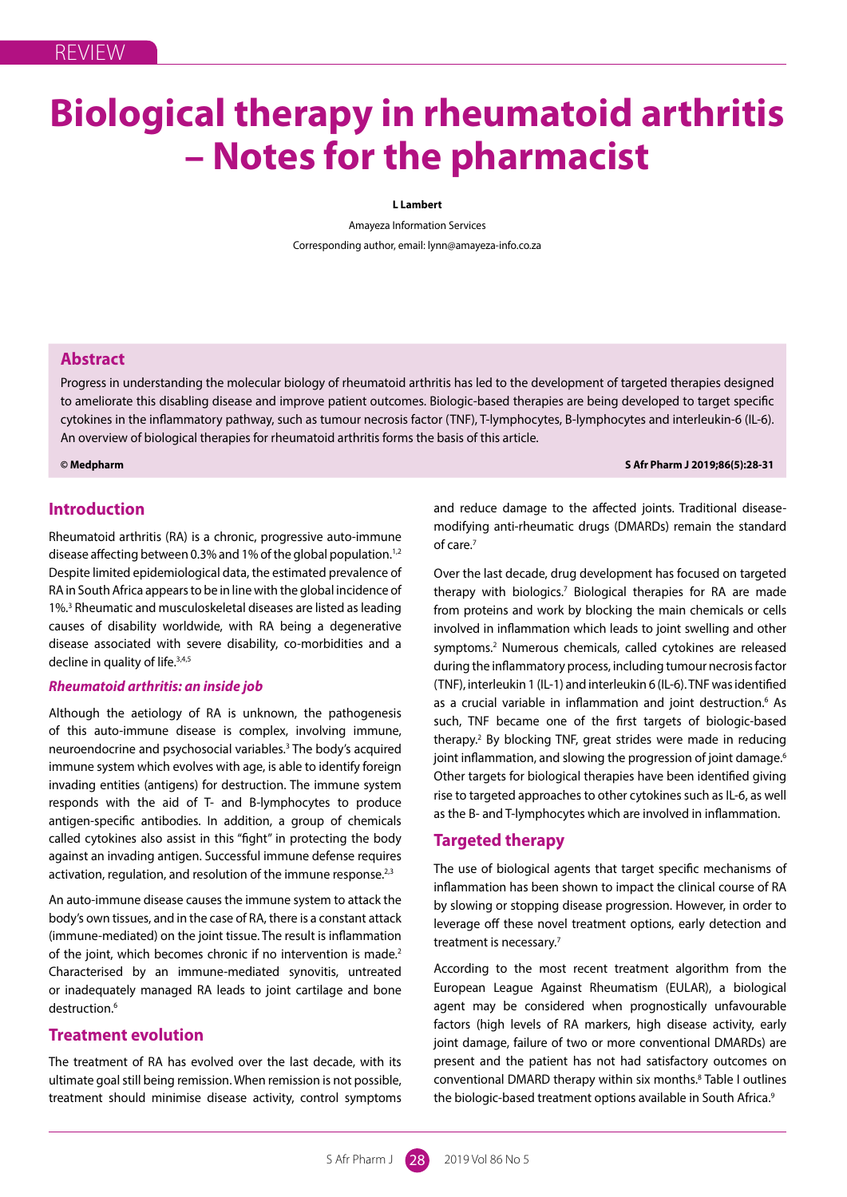# **Biological therapy in rheumatoid arthritis – Notes for the pharmacist**

# **L Lambert**

Amayeza Information Services Corresponding author, email: lynn@amayeza-info.co.za

# **Abstract**

Progress in understanding the molecular biology of rheumatoid arthritis has led to the development of targeted therapies designed to ameliorate this disabling disease and improve patient outcomes. Biologic-based therapies are being developed to target specific cytokines in the inflammatory pathway, such as tumour necrosis factor (TNF), T-lymphocytes, B-lymphocytes and interleukin-6 (IL-6). An overview of biological therapies for rheumatoid arthritis forms the basis of this article.

**© Medpharm S Afr Pharm J 2019;86(5):28-31**

# **Introduction**

Rheumatoid arthritis (RA) is a chronic, progressive auto-immune disease affecting between 0.3% and 1% of the global population.<sup>1,2</sup> Despite limited epidemiological data, the estimated prevalence of RA in South Africa appears to be in line with the global incidence of 1%.3 Rheumatic and musculoskeletal diseases are listed as leading causes of disability worldwide, with RA being a degenerative disease associated with severe disability, co-morbidities and a decline in quality of life.<sup>3,4,5</sup>

# *Rheumatoid arthritis: an inside job*

Although the aetiology of RA is unknown, the pathogenesis of this auto-immune disease is complex, involving immune, neuroendocrine and psychosocial variables.3 The body's acquired immune system which evolves with age, is able to identify foreign invading entities (antigens) for destruction. The immune system responds with the aid of T- and B-lymphocytes to produce antigen-specific antibodies. In addition, a group of chemicals called cytokines also assist in this "fight" in protecting the body against an invading antigen. Successful immune defense requires activation, regulation, and resolution of the immune response.<sup>2,3</sup>

An auto-immune disease causes the immune system to attack the body's own tissues, and in the case of RA, there is a constant attack (immune-mediated) on the joint tissue. The result is inflammation of the joint, which becomes chronic if no intervention is made.<sup>2</sup> Characterised by an immune-mediated synovitis, untreated or inadequately managed RA leads to joint cartilage and bone destruction.<sup>6</sup>

# **Treatment evolution**

The treatment of RA has evolved over the last decade, with its ultimate goal still being remission. When remission is not possible, treatment should minimise disease activity, control symptoms and reduce damage to the affected joints. Traditional diseasemodifying anti-rheumatic drugs (DMARDs) remain the standard of care.<sup>7</sup>

Over the last decade, drug development has focused on targeted therapy with biologics.<sup>7</sup> Biological therapies for RA are made from proteins and work by blocking the main chemicals or cells involved in inflammation which leads to joint swelling and other symptoms.<sup>2</sup> Numerous chemicals, called cytokines are released during the inflammatory process, including tumour necrosis factor (TNF), interleukin 1 (IL-1) and interleukin 6 (IL-6). TNF was identified as a crucial variable in inflammation and joint destruction.<sup>6</sup> As such, TNF became one of the first targets of biologic-based therapy.<sup>2</sup> By blocking TNF, great strides were made in reducing joint inflammation, and slowing the progression of joint damage.<sup>6</sup> Other targets for biological therapies have been identified giving rise to targeted approaches to other cytokines such as IL-6, as well as the B- and T-lymphocytes which are involved in inflammation.

# **Targeted therapy**

The use of biological agents that target specific mechanisms of inflammation has been shown to impact the clinical course of RA by slowing or stopping disease progression. However, in order to leverage off these novel treatment options, early detection and treatment is necessary.<sup>7</sup>

According to the most recent treatment algorithm from the European League Against Rheumatism (EULAR), a biological agent may be considered when prognostically unfavourable factors (high levels of RA markers, high disease activity, early joint damage, failure of two or more conventional DMARDs) are present and the patient has not had satisfactory outcomes on conventional DMARD therapy within six months.<sup>8</sup> Table I outlines the biologic-based treatment options available in South Africa.<sup>9</sup>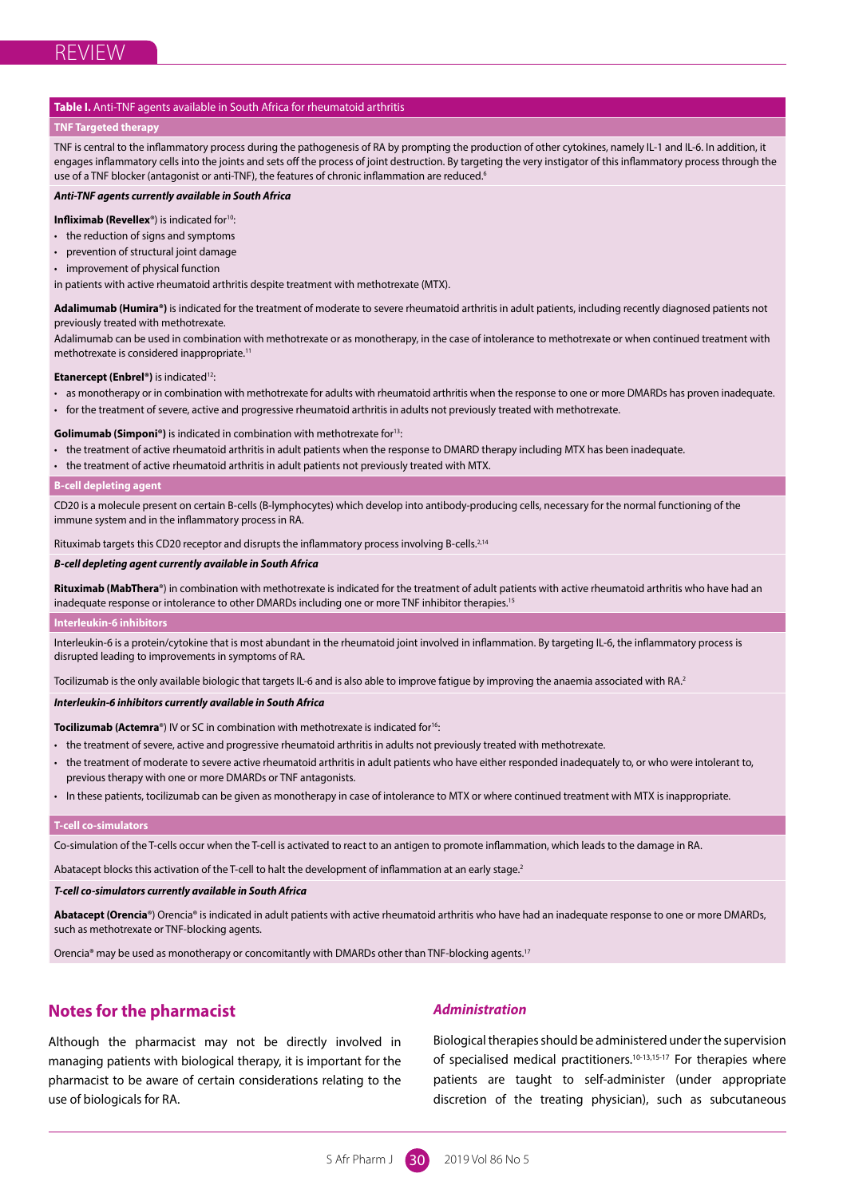## **Table I.** Anti-TNF agents available in South Africa for rheumatoid arthritis

## **TNF Targeted therapy**

TNF is central to the inflammatory process during the pathogenesis of RA by prompting the production of other cytokines, namely IL-1 and IL-6. In addition, it engages inflammatory cells into the joints and sets off the process of joint destruction. By targeting the very instigator of this inflammatory process through the use of a TNF blocker (antagonist or anti-TNF), the features of chronic inflammation are reduced.<sup>6</sup>

#### *Anti-TNF agents currently available in South Africa*

**Infliximab (Revellex<sup>®</sup>)** is indicated for<sup>10</sup>:

- the reduction of signs and symptoms
- prevention of structural joint damage
- improvement of physical function

in patients with active rheumatoid arthritis despite treatment with methotrexate (MTX).

Adalimumab (Humira®) is indicated for the treatment of moderate to severe rheumatoid arthritis in adult patients, including recently diagnosed patients not previously treated with methotrexate.

Adalimumab can be used in combination with methotrexate or as monotherapy, in the case of intolerance to methotrexate or when continued treatment with methotrexate is considered inappropriate.11

#### **Etanercept (Enbrel®)** is indicated<sup>12</sup>:

- as monotherapy or in combination with methotrexate for adults with rheumatoid arthritis when the response to one or more DMARDs has proven inadequate.
- for the treatment of severe, active and progressive rheumatoid arthritis in adults not previously treated with methotrexate.

#### **Golimumab (Simponi®)** is indicated in combination with methotrexate for<sup>13</sup>:

- the treatment of active rheumatoid arthritis in adult patients when the response to DMARD therapy including MTX has been inadequate.
- the treatment of active rheumatoid arthritis in adult patients not previously treated with MTX.

#### **B-cell depleting agent**

CD20 is a molecule present on certain B-cells (B-lymphocytes) which develop into antibody-producing cells, necessary for the normal functioning of the immune system and in the inflammatory process in RA.

Rituximab targets this CD20 receptor and disrupts the inflammatory process involving B-cells.<sup>2,14</sup>

#### *B-cell depleting agent currently available in South Africa*

**Rituximab (MabThera**®) in combination with methotrexate is indicated for the treatment of adult patients with active rheumatoid arthritis who have had an inadequate response or intolerance to other DMARDs including one or more TNF inhibitor therapies.<sup>15</sup>

#### **Interleukin-6 inhibitors**

Interleukin-6 is a protein/cytokine that is most abundant in the rheumatoid joint involved in inflammation. By targeting IL-6, the inflammatory process is disrupted leading to improvements in symptoms of RA.

Tocilizumab is the only available biologic that targets IL-6 and is also able to improve fatigue by improving the anaemia associated with RA.<sup>2</sup>

#### *Interleukin-6 inhibitors currently available in South Africa*

**Tocilizumab (Actemra<sup>®</sup>)** IV or SC in combination with methotrexate is indicated for<sup>16</sup>:

- the treatment of severe, active and progressive rheumatoid arthritis in adults not previously treated with methotrexate.
- the treatment of moderate to severe active rheumatoid arthritis in adult patients who have either responded inadequately to, or who were intolerant to, previous therapy with one or more DMARDs or TNF antagonists.
- In these patients, tocilizumab can be given as monotherapy in case of intolerance to MTX or where continued treatment with MTX is inappropriate.

#### **T-cell co-simulators**

Co-simulation of the T-cells occur when the T-cell is activated to react to an antigen to promote inflammation, which leads to the damage in RA.

Abatacept blocks this activation of the T-cell to halt the development of inflammation at an early stage.<sup>2</sup>

## *T-cell co-simulators currently available in South Africa*

**Abatacept (Orencia**®) Orencia® is indicated in adult patients with active rheumatoid arthritis who have had an inadequate response to one or more DMARDs, such as methotrexate or TNF-blocking agents.

Orencia® may be used as monotherapy or concomitantly with DMARDs other than TNF-blocking agents.17

# **Notes for the pharmacist**

Although the pharmacist may not be directly involved in managing patients with biological therapy, it is important for the pharmacist to be aware of certain considerations relating to the use of biologicals for RA.

## *Administration*

Biological therapies should be administered under the supervision of specialised medical practitioners.<sup>10-13,15-17</sup> For therapies where patients are taught to self-administer (under appropriate discretion of the treating physician), such as subcutaneous